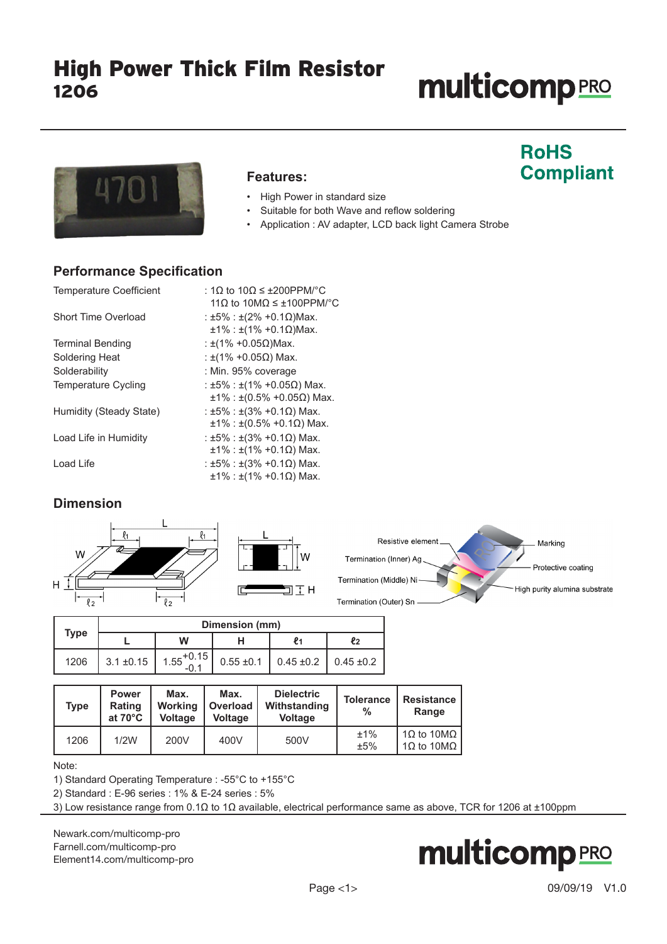# **multicomp**PRO

**RoHS** 

**Compliant** 



#### **Features:**

- High Power in standard size
- Suitable for both Wave and reflow soldering
- Application : AV adapter, LCD back light Camera Strobe

### **Performance Specification**

| <b>Temperature Coefficient</b> | : 1Ω to 10Ω ≤ ±200PPM/°C                        |
|--------------------------------|-------------------------------------------------|
|                                | 11 $\Omega$ to 10M $\Omega \leq \pm 100$ PPM/°C |
| Short Time Overload            | : ±5% : ±(2% +0.1 $\Omega$ )Max.                |
|                                | $±1\%$ : ±(1% +0.1Ω)Max.                        |
| <b>Terminal Bending</b>        | : $\pm$ (1% +0.05Ω)Max.                         |
| Soldering Heat                 | : ±(1% +0.05Ω) Max.                             |
| Solderability                  | : Min. 95% coverage                             |
| <b>Temperature Cycling</b>     | : ±5% : ±(1% +0.05Ω) Max.                       |
|                                | $±1\%$ : ±(0.5% +0.05Ω) Max.                    |
| Humidity (Steady State)        | : ±5% : ±(3% +0.1 $\Omega$ ) Max.               |
|                                | $\pm 1\%$ : $\pm (0.5\% + 0.1\Omega)$ Max.      |
| Load Life in Humidity          | : ±5% : ±(3% +0.1 $\Omega$ ) Max.               |
|                                | $±1\% : ±(1\% +0.1\Omega)$ Max.                 |
| Load Life                      | : ±5% : ±(3% +0.1 $\Omega$ ) Max.               |
|                                | $\pm 1\%$ : $\pm (1\% + 0.1\Omega)$ Max.        |

### **Dimension**



| Type | Dimension (mm) |                       |  |                                              |    |  |  |
|------|----------------|-----------------------|--|----------------------------------------------|----|--|--|
|      |                | W                     |  |                                              | Ł2 |  |  |
| 1206 | $3.1 \pm 0.15$ | $1.55^{+0.15}_{-0.1}$ |  | $0.55 \pm 0.1$ 0.45 $\pm 0.2$ 0.45 $\pm 0.2$ |    |  |  |

| Type | <b>Power</b><br>Rating<br>at $70^{\circ}$ C | Max.<br><b>Working</b><br><b>Voltage</b> | Max.<br>Overload<br><b>Voltage</b> | <b>Dielectric</b><br>Withstanding<br><b>Voltage</b> | <b>Tolerance</b><br>% | <b>Resistance</b><br>Range                    |
|------|---------------------------------------------|------------------------------------------|------------------------------------|-----------------------------------------------------|-----------------------|-----------------------------------------------|
| 1206 | 1/2W                                        | 200V                                     | 400V                               | 500V                                                | ±1%<br>±5%            | 1Ω to 10MΩ<br>$1\Omega$ to $10\text{M}\Omega$ |

Note:

1) Standard Operating Temperature : -55°C to +155°C

2) Standard : E-96 series : 1% & E-24 series : 5%

3) Low resistance range from 0.1Ω to 1Ω available, electrical performance same as above, TCR for 1206 at ±100ppm

[Newark.com/multicomp-](https://www.newark.com/multicomp-pro)pro [Farnell.com/multicomp](https://www.farnell.com/multicomp-pro)-pro [Element14.com/multicomp-pro](https://element14.com/multicomp-pro)

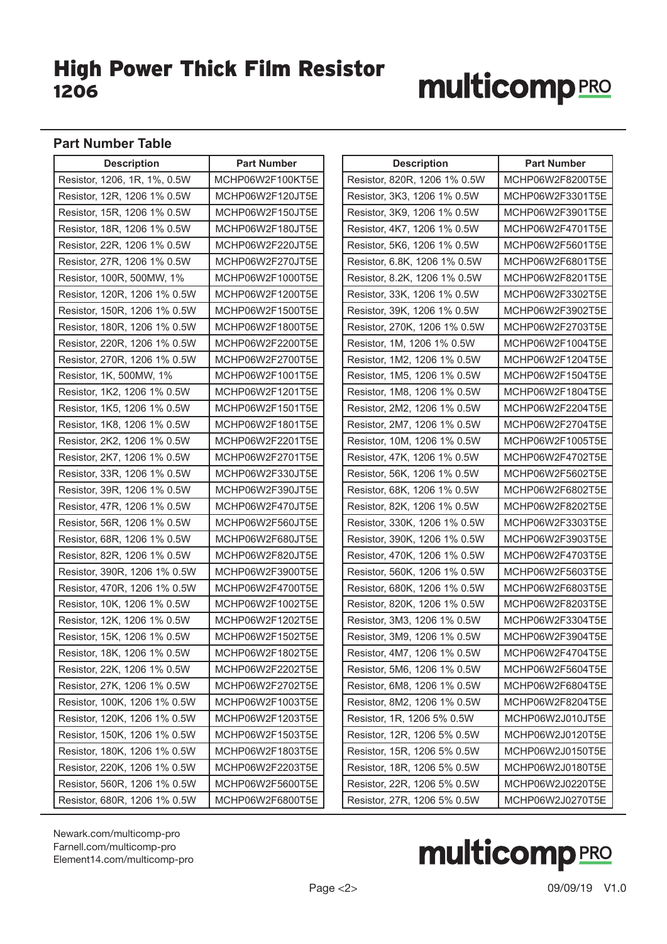# **multicomp**PRO

#### **Part Number Table**

| <b>Description</b>           | <b>Part Number</b> | <b>Description</b>           | <b>Part Number</b> |
|------------------------------|--------------------|------------------------------|--------------------|
| Resistor, 1206, 1R, 1%, 0.5W | MCHP06W2F100KT5E   | Resistor, 820R, 1206 1% 0.5W | MCHP06W2F8200T5E   |
| Resistor, 12R, 1206 1% 0.5W  | MCHP06W2F120JT5E   | Resistor, 3K3, 1206 1% 0.5W  | MCHP06W2F3301T5E   |
| Resistor, 15R, 1206 1% 0.5W  | MCHP06W2F150JT5E   | Resistor, 3K9, 1206 1% 0.5W  | MCHP06W2F3901T5E   |
| Resistor, 18R, 1206 1% 0.5W  | MCHP06W2F180JT5E   | Resistor, 4K7, 1206 1% 0.5W  | MCHP06W2F4701T5E   |
| Resistor, 22R, 1206 1% 0.5W  | MCHP06W2F220JT5E   | Resistor, 5K6, 1206 1% 0.5W  | MCHP06W2F5601T5E   |
| Resistor, 27R, 1206 1% 0.5W  | MCHP06W2F270JT5E   | Resistor, 6.8K, 1206 1% 0.5W | MCHP06W2F6801T5E   |
| Resistor, 100R, 500MW, 1%    | MCHP06W2F1000T5E   | Resistor, 8.2K, 1206 1% 0.5W | MCHP06W2F8201T5E   |
| Resistor, 120R, 1206 1% 0.5W | MCHP06W2F1200T5E   | Resistor, 33K, 1206 1% 0.5W  | MCHP06W2F3302T5E   |
| Resistor, 150R, 1206 1% 0.5W | MCHP06W2F1500T5E   | Resistor, 39K, 1206 1% 0.5W  | MCHP06W2F3902T5E   |
| Resistor, 180R, 1206 1% 0.5W | MCHP06W2F1800T5E   | Resistor, 270K, 1206 1% 0.5W | MCHP06W2F2703T5E   |
| Resistor, 220R, 1206 1% 0.5W | MCHP06W2F2200T5E   | Resistor, 1M, 1206 1% 0.5W   | MCHP06W2F1004T5E   |
| Resistor, 270R, 1206 1% 0.5W | MCHP06W2F2700T5E   | Resistor, 1M2, 1206 1% 0.5W  | MCHP06W2F1204T5E   |
| Resistor, 1K, 500MW, 1%      | MCHP06W2F1001T5E   | Resistor, 1M5, 1206 1% 0.5W  | MCHP06W2F1504T5E   |
| Resistor, 1K2, 1206 1% 0.5W  | MCHP06W2F1201T5E   | Resistor, 1M8, 1206 1% 0.5W  | MCHP06W2F1804T5E   |
| Resistor, 1K5, 1206 1% 0.5W  | MCHP06W2F1501T5E   | Resistor, 2M2, 1206 1% 0.5W  | MCHP06W2F2204T5E   |
| Resistor, 1K8, 1206 1% 0.5W  | MCHP06W2F1801T5E   | Resistor, 2M7, 1206 1% 0.5W  | MCHP06W2F2704T5E   |
| Resistor, 2K2, 1206 1% 0.5W  | MCHP06W2F2201T5E   | Resistor, 10M, 1206 1% 0.5W  | MCHP06W2F1005T5E   |
| Resistor, 2K7, 1206 1% 0.5W  | MCHP06W2F2701T5E   | Resistor, 47K, 1206 1% 0.5W  | MCHP06W2F4702T5E   |
| Resistor, 33R, 1206 1% 0.5W  | MCHP06W2F330JT5E   | Resistor, 56K, 1206 1% 0.5W  | MCHP06W2F5602T5E   |
| Resistor, 39R, 1206 1% 0.5W  | MCHP06W2F390JT5E   | Resistor, 68K, 1206 1% 0.5W  | MCHP06W2F6802T5E   |
| Resistor, 47R, 1206 1% 0.5W  | MCHP06W2F470JT5E   | Resistor, 82K, 1206 1% 0.5W  | MCHP06W2F8202T5E   |
| Resistor, 56R, 1206 1% 0.5W  | MCHP06W2F560JT5E   | Resistor, 330K, 1206 1% 0.5W | MCHP06W2F3303T5E   |
| Resistor, 68R, 1206 1% 0.5W  | MCHP06W2F680JT5E   | Resistor, 390K, 1206 1% 0.5W | MCHP06W2F3903T5E   |
| Resistor, 82R, 1206 1% 0.5W  | MCHP06W2F820JT5E   | Resistor, 470K, 1206 1% 0.5W | MCHP06W2F4703T5E   |
| Resistor, 390R, 1206 1% 0.5W | MCHP06W2F3900T5E   | Resistor, 560K, 1206 1% 0.5W | MCHP06W2F5603T5E   |
| Resistor, 470R, 1206 1% 0.5W | MCHP06W2F4700T5E   | Resistor, 680K, 1206 1% 0.5W | MCHP06W2F6803T5E   |
| Resistor, 10K, 1206 1% 0.5W  | MCHP06W2F1002T5E   | Resistor, 820K, 1206 1% 0.5W | MCHP06W2F8203T5E   |
| Resistor, 12K, 1206 1% 0.5W  | MCHP06W2F1202T5E   | Resistor, 3M3, 1206 1% 0.5W  | MCHP06W2F3304T5E   |
| Resistor, 15K, 1206 1% 0.5W  | MCHP06W2F1502T5E   | Resistor, 3M9, 1206 1% 0.5W  | MCHP06W2F3904T5E   |
| Resistor, 18K, 1206 1% 0.5W  | MCHP06W2F1802T5E   | Resistor, 4M7, 1206 1% 0.5W  | MCHP06W2F4704T5E   |
| Resistor, 22K, 1206 1% 0.5W  | MCHP06W2F2202T5E   | Resistor, 5M6, 1206 1% 0.5W  | MCHP06W2F5604T5E   |
| Resistor, 27K, 1206 1% 0.5W  | MCHP06W2F2702T5E   | Resistor, 6M8, 1206 1% 0.5W  | MCHP06W2F6804T5E   |
| Resistor, 100K, 1206 1% 0.5W | MCHP06W2F1003T5E   | Resistor, 8M2, 1206 1% 0.5W  | MCHP06W2F8204T5E   |
| Resistor, 120K, 1206 1% 0.5W | MCHP06W2F1203T5E   | Resistor, 1R, 1206 5% 0.5W   | MCHP06W2J010JT5E   |
| Resistor, 150K, 1206 1% 0.5W | MCHP06W2F1503T5E   | Resistor, 12R, 1206 5% 0.5W  | MCHP06W2J0120T5E   |
| Resistor, 180K, 1206 1% 0.5W | MCHP06W2F1803T5E   | Resistor, 15R, 1206 5% 0.5W  | MCHP06W2J0150T5E   |
| Resistor, 220K, 1206 1% 0.5W | MCHP06W2F2203T5E   | Resistor, 18R, 1206 5% 0.5W  | MCHP06W2J0180T5E   |
| Resistor, 560R, 1206 1% 0.5W | MCHP06W2F5600T5E   | Resistor, 22R, 1206 5% 0.5W  | MCHP06W2J0220T5E   |
| Resistor, 680R, 1206 1% 0.5W | MCHP06W2F6800T5E   | Resistor, 27R, 1206 5% 0.5W  | MCHP06W2J0270T5E   |

[Newark.com/multicomp-](https://www.newark.com/multicomp-pro)pro [Farnell.com/multicomp](https://www.farnell.com/multicomp-pro)-pro [Element14.com/multicomp-pro](https://element14.com/multicomp-pro)